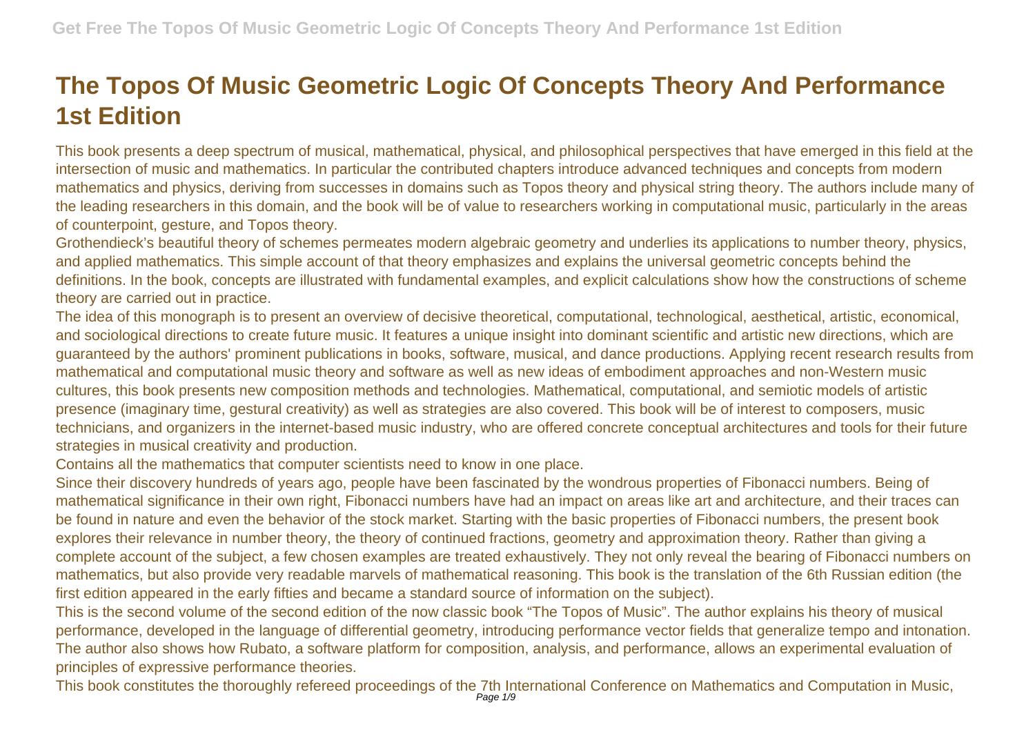## **The Topos Of Music Geometric Logic Of Concepts Theory And Performance 1st Edition**

This book presents a deep spectrum of musical, mathematical, physical, and philosophical perspectives that have emerged in this field at the intersection of music and mathematics. In particular the contributed chapters introduce advanced techniques and concepts from modern mathematics and physics, deriving from successes in domains such as Topos theory and physical string theory. The authors include many of the leading researchers in this domain, and the book will be of value to researchers working in computational music, particularly in the areas of counterpoint, gesture, and Topos theory.

Grothendieck's beautiful theory of schemes permeates modern algebraic geometry and underlies its applications to number theory, physics, and applied mathematics. This simple account of that theory emphasizes and explains the universal geometric concepts behind the definitions. In the book, concepts are illustrated with fundamental examples, and explicit calculations show how the constructions of scheme theory are carried out in practice.

The idea of this monograph is to present an overview of decisive theoretical, computational, technological, aesthetical, artistic, economical, and sociological directions to create future music. It features a unique insight into dominant scientific and artistic new directions, which are guaranteed by the authors' prominent publications in books, software, musical, and dance productions. Applying recent research results from mathematical and computational music theory and software as well as new ideas of embodiment approaches and non-Western music cultures, this book presents new composition methods and technologies. Mathematical, computational, and semiotic models of artistic presence (imaginary time, gestural creativity) as well as strategies are also covered. This book will be of interest to composers, music technicians, and organizers in the internet-based music industry, who are offered concrete conceptual architectures and tools for their future strategies in musical creativity and production.

Contains all the mathematics that computer scientists need to know in one place.

Since their discovery hundreds of years ago, people have been fascinated by the wondrous properties of Fibonacci numbers. Being of mathematical significance in their own right, Fibonacci numbers have had an impact on areas like art and architecture, and their traces can be found in nature and even the behavior of the stock market. Starting with the basic properties of Fibonacci numbers, the present book explores their relevance in number theory, the theory of continued fractions, geometry and approximation theory. Rather than giving a complete account of the subject, a few chosen examples are treated exhaustively. They not only reveal the bearing of Fibonacci numbers on mathematics, but also provide very readable marvels of mathematical reasoning. This book is the translation of the 6th Russian edition (the first edition appeared in the early fifties and became a standard source of information on the subject).

This is the second volume of the second edition of the now classic book "The Topos of Music". The author explains his theory of musical performance, developed in the language of differential geometry, introducing performance vector fields that generalize tempo and intonation. The author also shows how Rubato, a software platform for composition, analysis, and performance, allows an experimental evaluation of principles of expressive performance theories.

This book constitutes the thoroughly refereed proceedings of the 7th International Conference on Mathematics and Computation in Music,<br>Page 1/9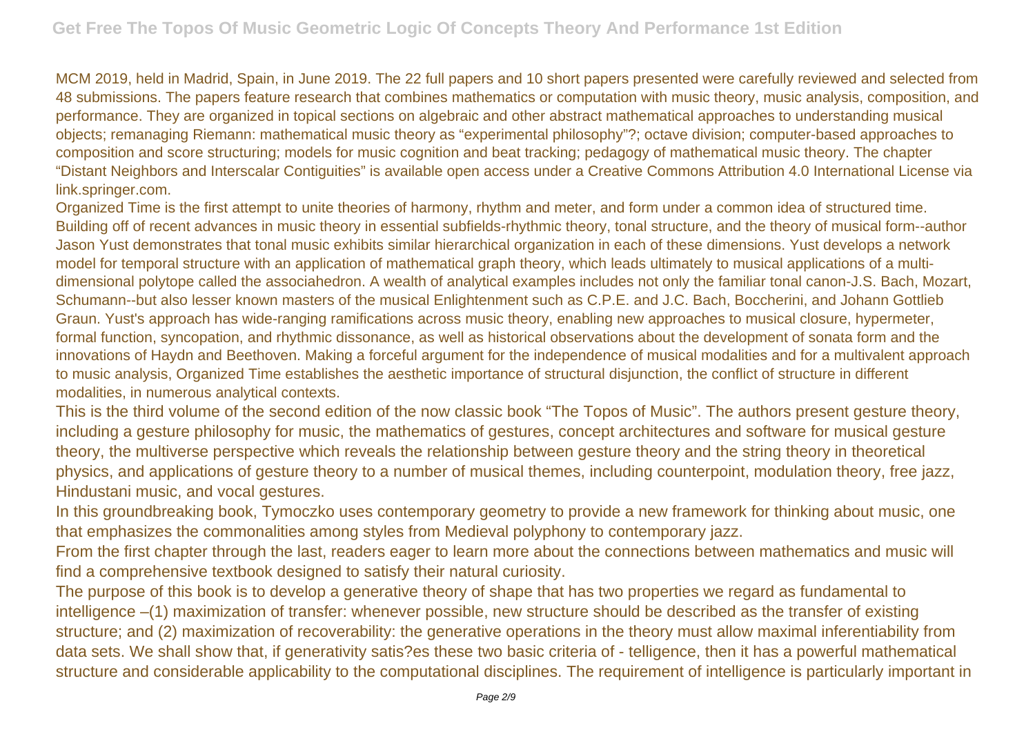MCM 2019, held in Madrid, Spain, in June 2019. The 22 full papers and 10 short papers presented were carefully reviewed and selected from 48 submissions. The papers feature research that combines mathematics or computation with music theory, music analysis, composition, and performance. They are organized in topical sections on algebraic and other abstract mathematical approaches to understanding musical objects; remanaging Riemann: mathematical music theory as "experimental philosophy"?; octave division; computer-based approaches to composition and score structuring; models for music cognition and beat tracking; pedagogy of mathematical music theory. The chapter "Distant Neighbors and Interscalar Contiguities" is available open access under a Creative Commons Attribution 4.0 International License via link.springer.com.

Organized Time is the first attempt to unite theories of harmony, rhythm and meter, and form under a common idea of structured time. Building off of recent advances in music theory in essential subfields-rhythmic theory, tonal structure, and the theory of musical form--author Jason Yust demonstrates that tonal music exhibits similar hierarchical organization in each of these dimensions. Yust develops a network model for temporal structure with an application of mathematical graph theory, which leads ultimately to musical applications of a multidimensional polytope called the associahedron. A wealth of analytical examples includes not only the familiar tonal canon-J.S. Bach, Mozart, Schumann--but also lesser known masters of the musical Enlightenment such as C.P.E. and J.C. Bach, Boccherini, and Johann Gottlieb Graun. Yust's approach has wide-ranging ramifications across music theory, enabling new approaches to musical closure, hypermeter, formal function, syncopation, and rhythmic dissonance, as well as historical observations about the development of sonata form and the innovations of Haydn and Beethoven. Making a forceful argument for the independence of musical modalities and for a multivalent approach to music analysis, Organized Time establishes the aesthetic importance of structural disjunction, the conflict of structure in different modalities, in numerous analytical contexts.

This is the third volume of the second edition of the now classic book "The Topos of Music". The authors present gesture theory, including a gesture philosophy for music, the mathematics of gestures, concept architectures and software for musical gesture theory, the multiverse perspective which reveals the relationship between gesture theory and the string theory in theoretical physics, and applications of gesture theory to a number of musical themes, including counterpoint, modulation theory, free jazz, Hindustani music, and vocal gestures.

In this groundbreaking book, Tymoczko uses contemporary geometry to provide a new framework for thinking about music, one that emphasizes the commonalities among styles from Medieval polyphony to contemporary jazz.

From the first chapter through the last, readers eager to learn more about the connections between mathematics and music will find a comprehensive textbook designed to satisfy their natural curiosity.

The purpose of this book is to develop a generative theory of shape that has two properties we regard as fundamental to intelligence –(1) maximization of transfer: whenever possible, new structure should be described as the transfer of existing structure; and (2) maximization of recoverability: the generative operations in the theory must allow maximal inferentiability from data sets. We shall show that, if generativity satis?es these two basic criteria of - telligence, then it has a powerful mathematical structure and considerable applicability to the computational disciplines. The requirement of intelligence is particularly important in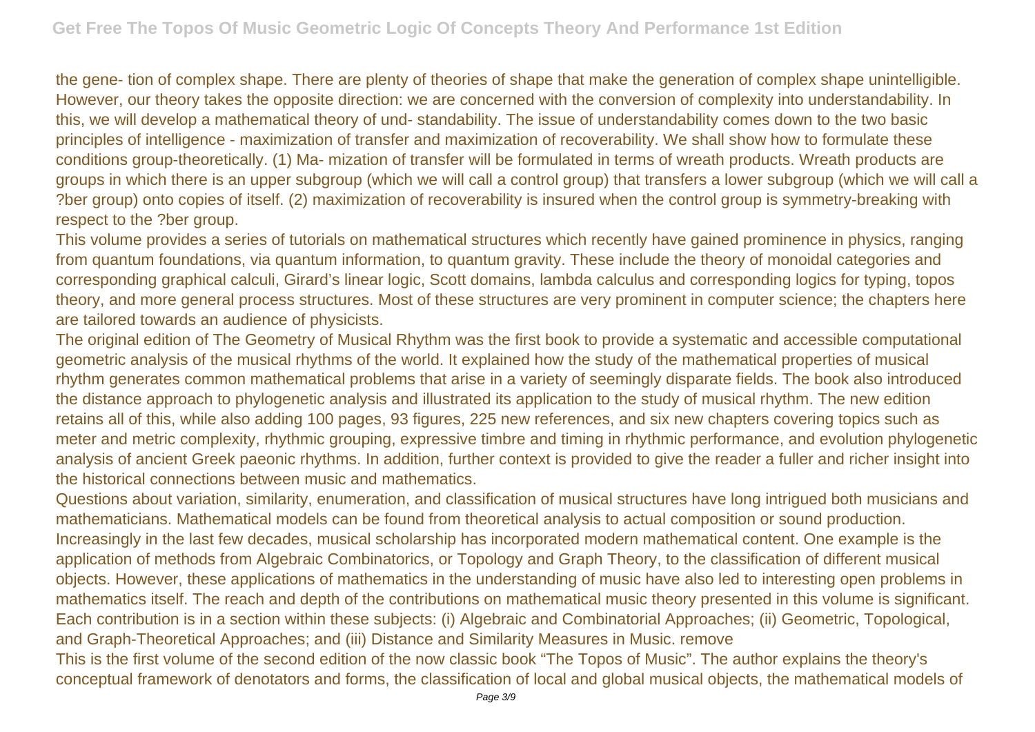the gene- tion of complex shape. There are plenty of theories of shape that make the generation of complex shape unintelligible. However, our theory takes the opposite direction: we are concerned with the conversion of complexity into understandability. In this, we will develop a mathematical theory of und- standability. The issue of understandability comes down to the two basic principles of intelligence - maximization of transfer and maximization of recoverability. We shall show how to formulate these conditions group-theoretically. (1) Ma- mization of transfer will be formulated in terms of wreath products. Wreath products are groups in which there is an upper subgroup (which we will call a control group) that transfers a lower subgroup (which we will call a ?ber group) onto copies of itself. (2) maximization of recoverability is insured when the control group is symmetry-breaking with respect to the ?ber group.

This volume provides a series of tutorials on mathematical structures which recently have gained prominence in physics, ranging from quantum foundations, via quantum information, to quantum gravity. These include the theory of monoidal categories and corresponding graphical calculi, Girard's linear logic, Scott domains, lambda calculus and corresponding logics for typing, topos theory, and more general process structures. Most of these structures are very prominent in computer science; the chapters here are tailored towards an audience of physicists.

The original edition of The Geometry of Musical Rhythm was the first book to provide a systematic and accessible computational geometric analysis of the musical rhythms of the world. It explained how the study of the mathematical properties of musical rhythm generates common mathematical problems that arise in a variety of seemingly disparate fields. The book also introduced the distance approach to phylogenetic analysis and illustrated its application to the study of musical rhythm. The new edition retains all of this, while also adding 100 pages, 93 figures, 225 new references, and six new chapters covering topics such as meter and metric complexity, rhythmic grouping, expressive timbre and timing in rhythmic performance, and evolution phylogenetic analysis of ancient Greek paeonic rhythms. In addition, further context is provided to give the reader a fuller and richer insight into the historical connections between music and mathematics.

Questions about variation, similarity, enumeration, and classification of musical structures have long intrigued both musicians and mathematicians. Mathematical models can be found from theoretical analysis to actual composition or sound production. Increasingly in the last few decades, musical scholarship has incorporated modern mathematical content. One example is the application of methods from Algebraic Combinatorics, or Topology and Graph Theory, to the classification of different musical objects. However, these applications of mathematics in the understanding of music have also led to interesting open problems in mathematics itself. The reach and depth of the contributions on mathematical music theory presented in this volume is significant. Each contribution is in a section within these subjects: (i) Algebraic and Combinatorial Approaches; (ii) Geometric, Topological, and Graph-Theoretical Approaches; and (iii) Distance and Similarity Measures in Music. remove

This is the first volume of the second edition of the now classic book "The Topos of Music". The author explains the theory's conceptual framework of denotators and forms, the classification of local and global musical objects, the mathematical models of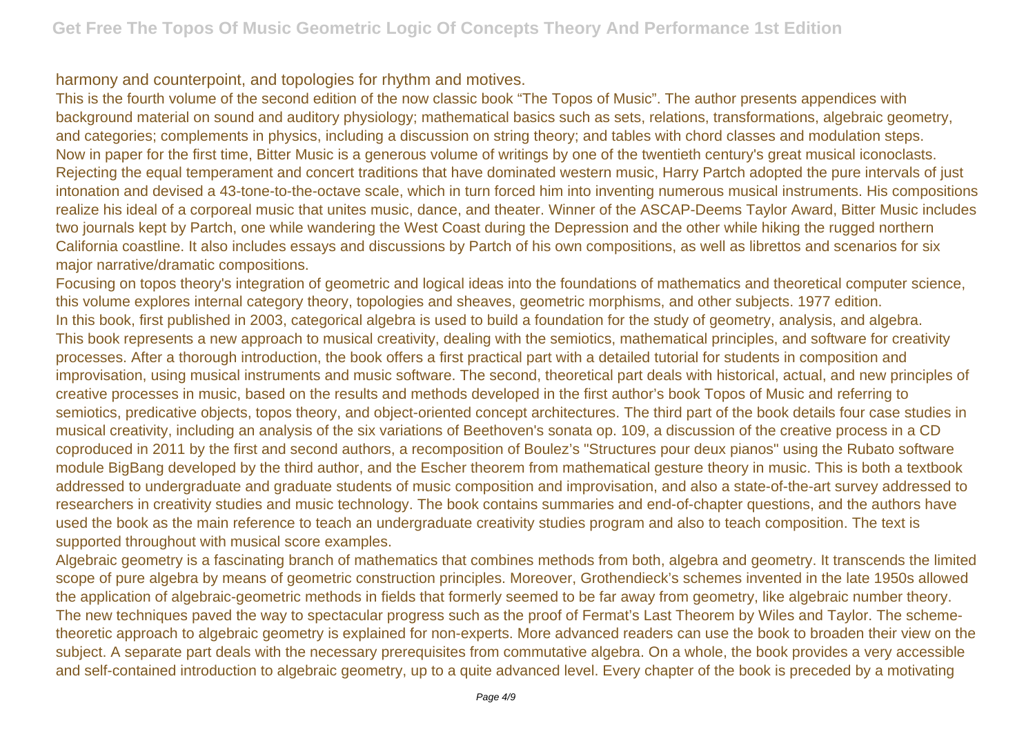## harmony and counterpoint, and topologies for rhythm and motives.

This is the fourth volume of the second edition of the now classic book "The Topos of Music". The author presents appendices with background material on sound and auditory physiology; mathematical basics such as sets, relations, transformations, algebraic geometry, and categories; complements in physics, including a discussion on string theory; and tables with chord classes and modulation steps. Now in paper for the first time, Bitter Music is a generous volume of writings by one of the twentieth century's great musical iconoclasts. Rejecting the equal temperament and concert traditions that have dominated western music, Harry Partch adopted the pure intervals of just intonation and devised a 43-tone-to-the-octave scale, which in turn forced him into inventing numerous musical instruments. His compositions realize his ideal of a corporeal music that unites music, dance, and theater. Winner of the ASCAP-Deems Taylor Award, Bitter Music includes two journals kept by Partch, one while wandering the West Coast during the Depression and the other while hiking the rugged northern California coastline. It also includes essays and discussions by Partch of his own compositions, as well as librettos and scenarios for six major narrative/dramatic compositions.

Focusing on topos theory's integration of geometric and logical ideas into the foundations of mathematics and theoretical computer science, this volume explores internal category theory, topologies and sheaves, geometric morphisms, and other subjects. 1977 edition. In this book, first published in 2003, categorical algebra is used to build a foundation for the study of geometry, analysis, and algebra. This book represents a new approach to musical creativity, dealing with the semiotics, mathematical principles, and software for creativity processes. After a thorough introduction, the book offers a first practical part with a detailed tutorial for students in composition and improvisation, using musical instruments and music software. The second, theoretical part deals with historical, actual, and new principles of creative processes in music, based on the results and methods developed in the first author's book Topos of Music and referring to semiotics, predicative objects, topos theory, and object-oriented concept architectures. The third part of the book details four case studies in musical creativity, including an analysis of the six variations of Beethoven's sonata op. 109, a discussion of the creative process in a CD coproduced in 2011 by the first and second authors, a recomposition of Boulez's "Structures pour deux pianos" using the Rubato software module BigBang developed by the third author, and the Escher theorem from mathematical gesture theory in music. This is both a textbook addressed to undergraduate and graduate students of music composition and improvisation, and also a state-of-the-art survey addressed to researchers in creativity studies and music technology. The book contains summaries and end-of-chapter questions, and the authors have used the book as the main reference to teach an undergraduate creativity studies program and also to teach composition. The text is supported throughout with musical score examples.

Algebraic geometry is a fascinating branch of mathematics that combines methods from both, algebra and geometry. It transcends the limited scope of pure algebra by means of geometric construction principles. Moreover, Grothendieck's schemes invented in the late 1950s allowed the application of algebraic-geometric methods in fields that formerly seemed to be far away from geometry, like algebraic number theory. The new techniques paved the way to spectacular progress such as the proof of Fermat's Last Theorem by Wiles and Taylor. The schemetheoretic approach to algebraic geometry is explained for non-experts. More advanced readers can use the book to broaden their view on the subject. A separate part deals with the necessary prerequisites from commutative algebra. On a whole, the book provides a very accessible and self-contained introduction to algebraic geometry, up to a quite advanced level. Every chapter of the book is preceded by a motivating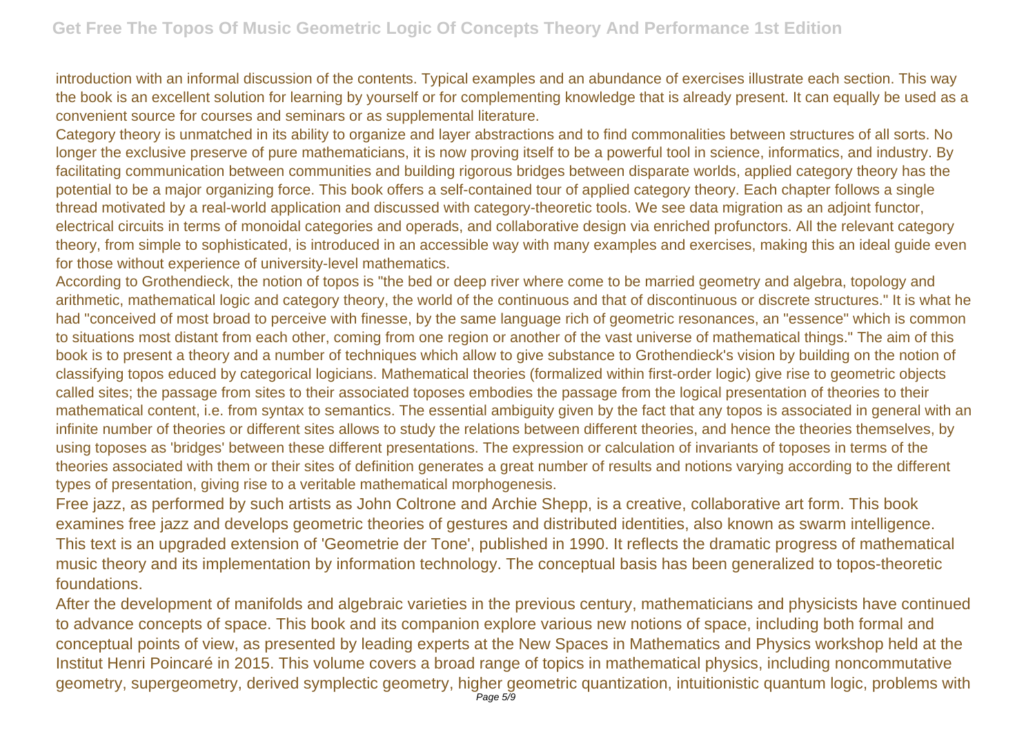introduction with an informal discussion of the contents. Typical examples and an abundance of exercises illustrate each section. This way the book is an excellent solution for learning by yourself or for complementing knowledge that is already present. It can equally be used as a convenient source for courses and seminars or as supplemental literature.

Category theory is unmatched in its ability to organize and layer abstractions and to find commonalities between structures of all sorts. No longer the exclusive preserve of pure mathematicians, it is now proving itself to be a powerful tool in science, informatics, and industry. By facilitating communication between communities and building rigorous bridges between disparate worlds, applied category theory has the potential to be a major organizing force. This book offers a self-contained tour of applied category theory. Each chapter follows a single thread motivated by a real-world application and discussed with category-theoretic tools. We see data migration as an adjoint functor, electrical circuits in terms of monoidal categories and operads, and collaborative design via enriched profunctors. All the relevant category theory, from simple to sophisticated, is introduced in an accessible way with many examples and exercises, making this an ideal guide even for those without experience of university-level mathematics.

According to Grothendieck, the notion of topos is "the bed or deep river where come to be married geometry and algebra, topology and arithmetic, mathematical logic and category theory, the world of the continuous and that of discontinuous or discrete structures." It is what he had "conceived of most broad to perceive with finesse, by the same language rich of geometric resonances, an "essence" which is common to situations most distant from each other, coming from one region or another of the vast universe of mathematical things." The aim of this book is to present a theory and a number of techniques which allow to give substance to Grothendieck's vision by building on the notion of classifying topos educed by categorical logicians. Mathematical theories (formalized within first-order logic) give rise to geometric objects called sites; the passage from sites to their associated toposes embodies the passage from the logical presentation of theories to their mathematical content, i.e. from syntax to semantics. The essential ambiguity given by the fact that any topos is associated in general with an infinite number of theories or different sites allows to study the relations between different theories, and hence the theories themselves, by using toposes as 'bridges' between these different presentations. The expression or calculation of invariants of toposes in terms of the theories associated with them or their sites of definition generates a great number of results and notions varying according to the different types of presentation, giving rise to a veritable mathematical morphogenesis.

Free jazz, as performed by such artists as John Coltrone and Archie Shepp, is a creative, collaborative art form. This book examines free jazz and develops geometric theories of gestures and distributed identities, also known as swarm intelligence. This text is an upgraded extension of 'Geometrie der Tone', published in 1990. It reflects the dramatic progress of mathematical music theory and its implementation by information technology. The conceptual basis has been generalized to topos-theoretic foundations.

After the development of manifolds and algebraic varieties in the previous century, mathematicians and physicists have continued to advance concepts of space. This book and its companion explore various new notions of space, including both formal and conceptual points of view, as presented by leading experts at the New Spaces in Mathematics and Physics workshop held at the Institut Henri Poincaré in 2015. This volume covers a broad range of topics in mathematical physics, including noncommutative geometry, supergeometry, derived symplectic geometry, higher geometric quantization, intuitionistic quantum logic, problems with Page 5/9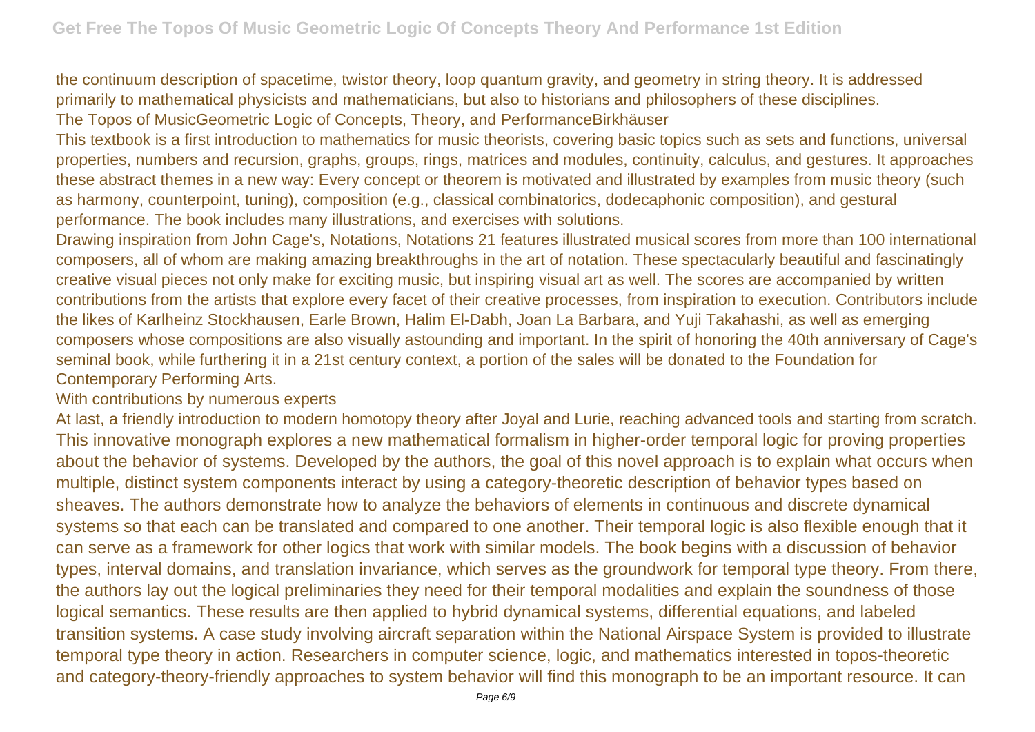the continuum description of spacetime, twistor theory, loop quantum gravity, and geometry in string theory. It is addressed primarily to mathematical physicists and mathematicians, but also to historians and philosophers of these disciplines. The Topos of MusicGeometric Logic of Concepts, Theory, and PerformanceBirkhäuser

This textbook is a first introduction to mathematics for music theorists, covering basic topics such as sets and functions, universal properties, numbers and recursion, graphs, groups, rings, matrices and modules, continuity, calculus, and gestures. It approaches these abstract themes in a new way: Every concept or theorem is motivated and illustrated by examples from music theory (such as harmony, counterpoint, tuning), composition (e.g., classical combinatorics, dodecaphonic composition), and gestural performance. The book includes many illustrations, and exercises with solutions.

Drawing inspiration from John Cage's, Notations, Notations 21 features illustrated musical scores from more than 100 international composers, all of whom are making amazing breakthroughs in the art of notation. These spectacularly beautiful and fascinatingly creative visual pieces not only make for exciting music, but inspiring visual art as well. The scores are accompanied by written contributions from the artists that explore every facet of their creative processes, from inspiration to execution. Contributors include the likes of Karlheinz Stockhausen, Earle Brown, Halim El-Dabh, Joan La Barbara, and Yuji Takahashi, as well as emerging composers whose compositions are also visually astounding and important. In the spirit of honoring the 40th anniversary of Cage's seminal book, while furthering it in a 21st century context, a portion of the sales will be donated to the Foundation for Contemporary Performing Arts.

With contributions by numerous experts

At last, a friendly introduction to modern homotopy theory after Joyal and Lurie, reaching advanced tools and starting from scratch. This innovative monograph explores a new mathematical formalism in higher-order temporal logic for proving properties about the behavior of systems. Developed by the authors, the goal of this novel approach is to explain what occurs when multiple, distinct system components interact by using a category-theoretic description of behavior types based on sheaves. The authors demonstrate how to analyze the behaviors of elements in continuous and discrete dynamical systems so that each can be translated and compared to one another. Their temporal logic is also flexible enough that it can serve as a framework for other logics that work with similar models. The book begins with a discussion of behavior types, interval domains, and translation invariance, which serves as the groundwork for temporal type theory. From there, the authors lay out the logical preliminaries they need for their temporal modalities and explain the soundness of those logical semantics. These results are then applied to hybrid dynamical systems, differential equations, and labeled transition systems. A case study involving aircraft separation within the National Airspace System is provided to illustrate temporal type theory in action. Researchers in computer science, logic, and mathematics interested in topos-theoretic and category-theory-friendly approaches to system behavior will find this monograph to be an important resource. It can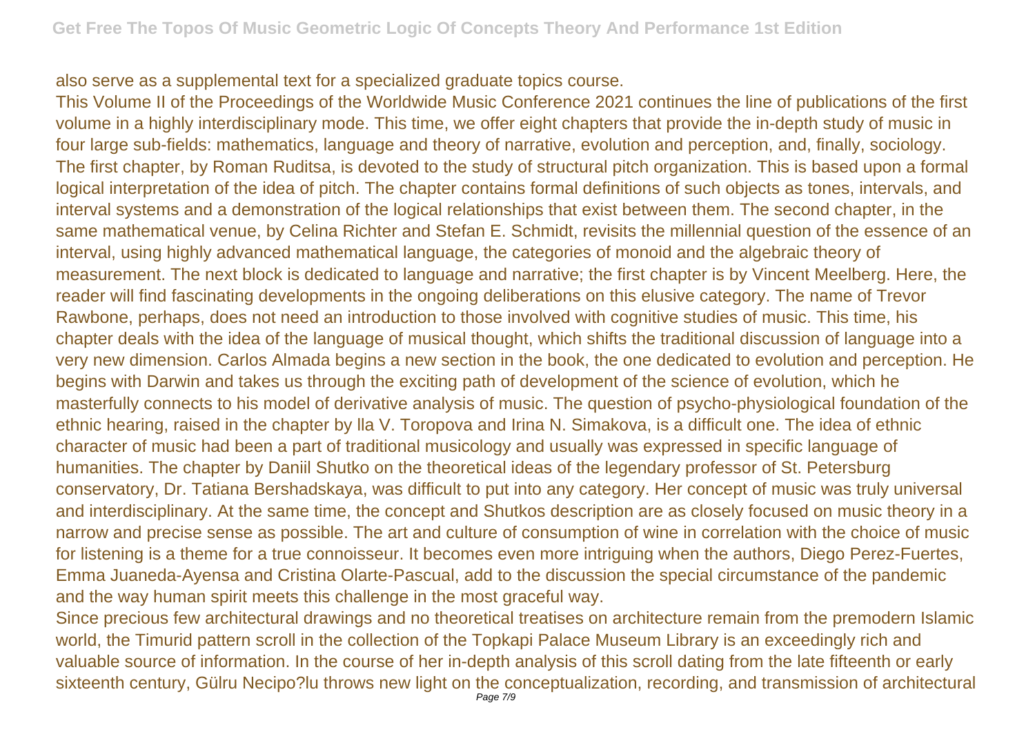also serve as a supplemental text for a specialized graduate topics course.

This Volume II of the Proceedings of the Worldwide Music Conference 2021 continues the line of publications of the first volume in a highly interdisciplinary mode. This time, we offer eight chapters that provide the in-depth study of music in four large sub-fields: mathematics, language and theory of narrative, evolution and perception, and, finally, sociology. The first chapter, by Roman Ruditsa, is devoted to the study of structural pitch organization. This is based upon a formal logical interpretation of the idea of pitch. The chapter contains formal definitions of such objects as tones, intervals, and interval systems and a demonstration of the logical relationships that exist between them. The second chapter, in the same mathematical venue, by Celina Richter and Stefan E. Schmidt, revisits the millennial question of the essence of an interval, using highly advanced mathematical language, the categories of monoid and the algebraic theory of measurement. The next block is dedicated to language and narrative; the first chapter is by Vincent Meelberg. Here, the reader will find fascinating developments in the ongoing deliberations on this elusive category. The name of Trevor Rawbone, perhaps, does not need an introduction to those involved with cognitive studies of music. This time, his chapter deals with the idea of the language of musical thought, which shifts the traditional discussion of language into a very new dimension. Carlos Almada begins a new section in the book, the one dedicated to evolution and perception. He begins with Darwin and takes us through the exciting path of development of the science of evolution, which he masterfully connects to his model of derivative analysis of music. The question of psycho-physiological foundation of the ethnic hearing, raised in the chapter by lla V. Toropova and Irina N. Simakova, is a difficult one. The idea of ethnic character of music had been a part of traditional musicology and usually was expressed in specific language of humanities. The chapter by Daniil Shutko on the theoretical ideas of the legendary professor of St. Petersburg conservatory, Dr. Tatiana Bershadskaya, was difficult to put into any category. Her concept of music was truly universal and interdisciplinary. At the same time, the concept and Shutkos description are as closely focused on music theory in a narrow and precise sense as possible. The art and culture of consumption of wine in correlation with the choice of music for listening is a theme for a true connoisseur. It becomes even more intriguing when the authors, Diego Perez-Fuertes, Emma Juaneda-Ayensa and Cristina Olarte-Pascual, add to the discussion the special circumstance of the pandemic and the way human spirit meets this challenge in the most graceful way.

Since precious few architectural drawings and no theoretical treatises on architecture remain from the premodern Islamic world, the Timurid pattern scroll in the collection of the Topkapi Palace Museum Library is an exceedingly rich and valuable source of information. In the course of her in-depth analysis of this scroll dating from the late fifteenth or early sixteenth century, Gülru Necipo?lu throws new light on the conceptualization, recording, and transmission of architectural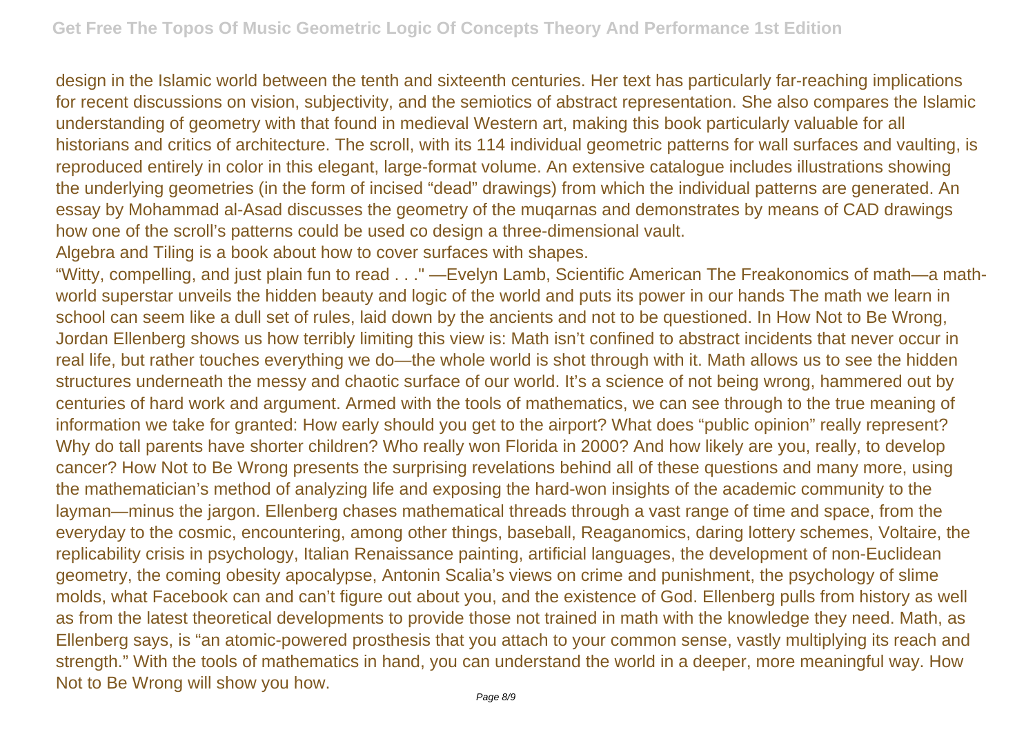design in the Islamic world between the tenth and sixteenth centuries. Her text has particularly far-reaching implications for recent discussions on vision, subjectivity, and the semiotics of abstract representation. She also compares the Islamic understanding of geometry with that found in medieval Western art, making this book particularly valuable for all historians and critics of architecture. The scroll, with its 114 individual geometric patterns for wall surfaces and vaulting, is reproduced entirely in color in this elegant, large-format volume. An extensive catalogue includes illustrations showing the underlying geometries (in the form of incised "dead" drawings) from which the individual patterns are generated. An essay by Mohammad al-Asad discusses the geometry of the muqarnas and demonstrates by means of CAD drawings how one of the scroll's patterns could be used co design a three-dimensional vault.

Algebra and Tiling is a book about how to cover surfaces with shapes.

"Witty, compelling, and just plain fun to read . . ." —Evelyn Lamb, Scientific American The Freakonomics of math—a mathworld superstar unveils the hidden beauty and logic of the world and puts its power in our hands The math we learn in school can seem like a dull set of rules, laid down by the ancients and not to be questioned. In How Not to Be Wrong, Jordan Ellenberg shows us how terribly limiting this view is: Math isn't confined to abstract incidents that never occur in real life, but rather touches everything we do—the whole world is shot through with it. Math allows us to see the hidden structures underneath the messy and chaotic surface of our world. It's a science of not being wrong, hammered out by centuries of hard work and argument. Armed with the tools of mathematics, we can see through to the true meaning of information we take for granted: How early should you get to the airport? What does "public opinion" really represent? Why do tall parents have shorter children? Who really won Florida in 2000? And how likely are you, really, to develop cancer? How Not to Be Wrong presents the surprising revelations behind all of these questions and many more, using the mathematician's method of analyzing life and exposing the hard-won insights of the academic community to the layman—minus the jargon. Ellenberg chases mathematical threads through a vast range of time and space, from the everyday to the cosmic, encountering, among other things, baseball, Reaganomics, daring lottery schemes, Voltaire, the replicability crisis in psychology, Italian Renaissance painting, artificial languages, the development of non-Euclidean geometry, the coming obesity apocalypse, Antonin Scalia's views on crime and punishment, the psychology of slime molds, what Facebook can and can't figure out about you, and the existence of God. Ellenberg pulls from history as well as from the latest theoretical developments to provide those not trained in math with the knowledge they need. Math, as Ellenberg says, is "an atomic-powered prosthesis that you attach to your common sense, vastly multiplying its reach and strength." With the tools of mathematics in hand, you can understand the world in a deeper, more meaningful way. How Not to Be Wrong will show you how.